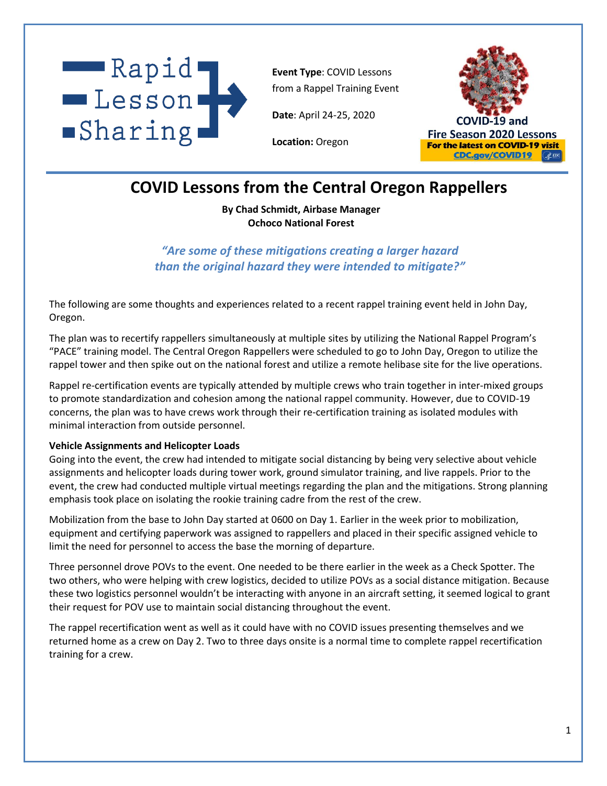

**Event Type**: COVID Lessons from a Rappel Training Event

**Date**: April 24-25, 2020

**Location:** Oregon



# **COVID Lessons from the Central Oregon Rappellers**

**By Chad Schmidt, Airbase Manager Ochoco National Forest**

*"Are some of these mitigations creating a larger hazard than the original hazard they were intended to mitigate?"*

The following are some thoughts and experiences related to a recent rappel training event held in John Day, Oregon.

The plan was to recertify rappellers simultaneously at multiple sites by utilizing the National Rappel Program's "PACE" training model. The Central Oregon Rappellers were scheduled to go to John Day, Oregon to utilize the rappel tower and then spike out on the national forest and utilize a remote helibase site for the live operations.

Rappel re-certification events are typically attended by multiple crews who train together in inter-mixed groups to promote standardization and cohesion among the national rappel community. However, due to COVID-19 concerns, the plan was to have crews work through their re-certification training as isolated modules with minimal interaction from outside personnel.

#### **Vehicle Assignments and Helicopter Loads**

Going into the event, the crew had intended to mitigate social distancing by being very selective about vehicle assignments and helicopter loads during tower work, ground simulator training, and live rappels. Prior to the event, the crew had conducted multiple virtual meetings regarding the plan and the mitigations. Strong planning emphasis took place on isolating the rookie training cadre from the rest of the crew.

Mobilization from the base to John Day started at 0600 on Day 1. Earlier in the week prior to mobilization, equipment and certifying paperwork was assigned to rappellers and placed in their specific assigned vehicle to limit the need for personnel to access the base the morning of departure.

Three personnel drove POVs to the event. One needed to be there earlier in the week as a Check Spotter. The two others, who were helping with crew logistics, decided to utilize POVs as a social distance mitigation. Because these two logistics personnel wouldn't be interacting with anyone in an aircraft setting, it seemed logical to grant their request for POV use to maintain social distancing throughout the event.

The rappel recertification went as well as it could have with no COVID issues presenting themselves and we returned home as a crew on Day 2. Two to three days onsite is a normal time to complete rappel recertification training for a crew.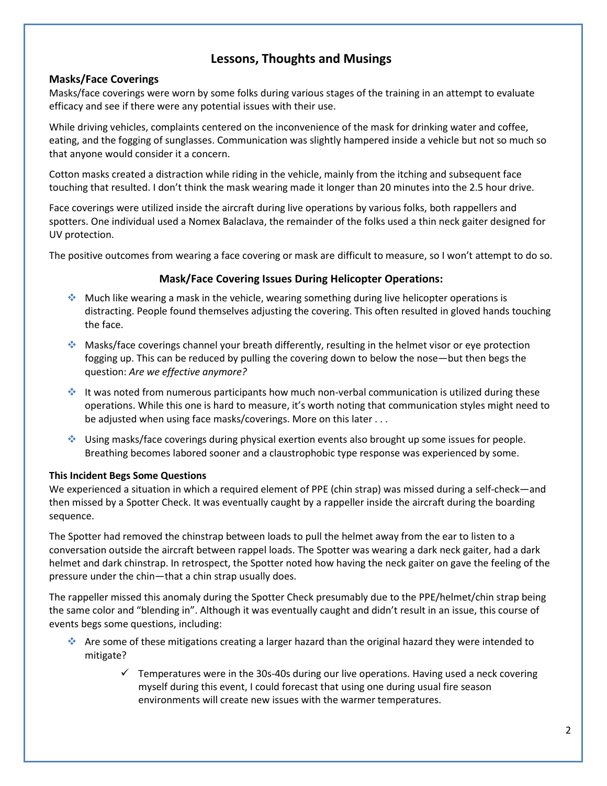## **Lessons, Thoughts and Musings**

## **Masks/Face Coverings**

Masks/face coverings were worn by some folks during various stages of the training in an attempt to evaluate efficacy and see if there were any potential issues with their use.

While driving vehicles, complaints centered on the inconvenience of the mask for drinking water and coffee, eating, and the fogging of sunglasses. Communication was slightly hampered inside a vehicle but not so much so that anyone would consider it a concern.

Cotton masks created a distraction while riding in the vehicle, mainly from the itching and subsequent face touching that resulted. I don't think the mask wearing made it longer than 20 minutes into the 2.5 hour drive.

Face coverings were utilized inside the aircraft during live operations by various folks, both rappellers and spotters. One individual used a Nomex Balaclava, the remainder of the folks used a thin neck gaiter designed for UV protection.

The positive outcomes from wearing a face covering or mask are difficult to measure, so I won't attempt to do so.

## **Mask/Face Covering Issues During Helicopter Operations:**

- ❖ Much like wearing a mask in the vehicle, wearing something during live helicopter operations is distracting. People found themselves adjusting the covering. This often resulted in gloved hands touching the face.
- ❖ Masks/face coverings channel your breath differently, resulting in the helmet visor or eye protection fogging up. This can be reduced by pulling the covering down to below the nose—but then begs the question: *Are we effective anymore?*
- ❖ It was noted from numerous participants how much non-verbal communication is utilized during these operations. While this one is hard to measure, it's worth noting that communication styles might need to be adjusted when using face masks/coverings. More on this later . . .
- ❖ Using masks/face coverings during physical exertion events also brought up some issues for people. Breathing becomes labored sooner and a claustrophobic type response was experienced by some.

### **This Incident Begs Some Questions**

We experienced a situation in which a required element of PPE (chin strap) was missed during a self-check—and then missed by a Spotter Check. It was eventually caught by a rappeller inside the aircraft during the boarding sequence.

The Spotter had removed the chinstrap between loads to pull the helmet away from the ear to listen to a conversation outside the aircraft between rappel loads. The Spotter was wearing a dark neck gaiter, had a dark helmet and dark chinstrap. In retrospect, the Spotter noted how having the neck gaiter on gave the feeling of the pressure under the chin—that a chin strap usually does.

The rappeller missed this anomaly during the Spotter Check presumably due to the PPE/helmet/chin strap being the same color and "blending in". Although it was eventually caught and didn't result in an issue, this course of events begs some questions, including:

- ❖ Are some of these mitigations creating a larger hazard than the original hazard they were intended to mitigate?
	- ✓ Temperatures were in the 30s-40s during our live operations. Having used a neck covering myself during this event, I could forecast that using one during usual fire season environments will create new issues with the warmer temperatures.